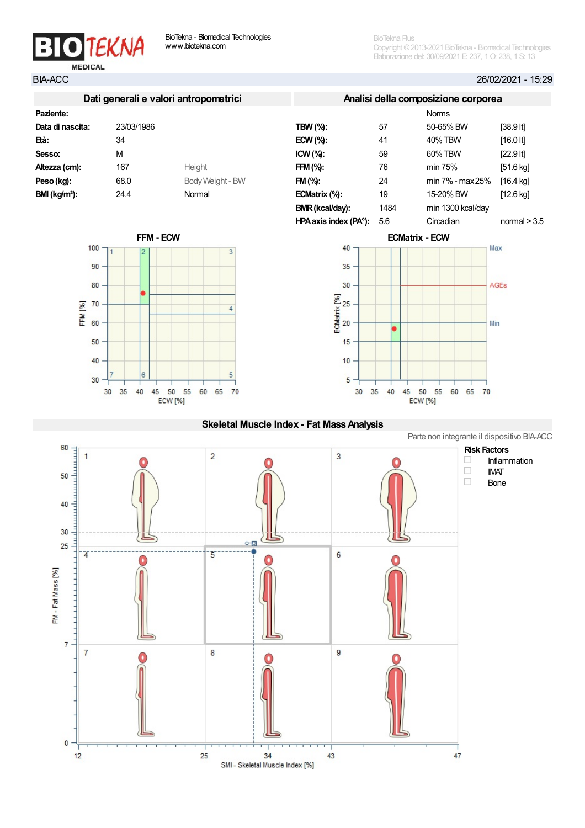

100

90

80

60

50

40

30

FFM<sub>[%]</sub> 70 BioTekna Plus Copyright ©2013-2021 BioTekna - Biomedical Technologies Elaborazione del: 30/09/2021 E: 237, 1 O: 238, 1 S: 13

BIA-ACC 26/02/2021 - 15:29

|                  |            | Dati generali e valori antropometrici |            |
|------------------|------------|---------------------------------------|------------|
| Paziente:        |            |                                       |            |
| Data di nascita: | 23/03/1986 |                                       | TBW        |
| Età:             | 34         |                                       | ECW        |
| Sesso:           | м          |                                       | <b>ICW</b> |
| Altezza (cm):    | 167        | Height                                | <b>FFM</b> |
| Peso (kg):       | 68.0       | Body Weight - BW                      | FM (       |
| $BMI (kg/m2)$ :  | 24.4       | Normal                                | ECM        |









## Skeletal Muscle Index - Fat Mass Analysis

Parte non integrante il dispositivo BIA-ACC

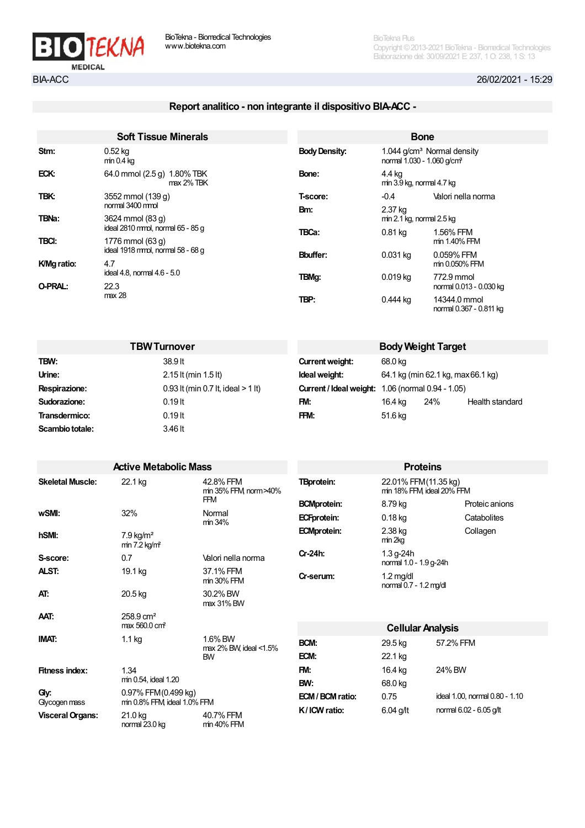

# Report analitico - non integrante il dispositivo BIA-ACC -

|              | <b>Soft Tissue Minerals</b>                  |                      |                                                                                                                                                                                           |                                         |  |  |
|--------------|----------------------------------------------|----------------------|-------------------------------------------------------------------------------------------------------------------------------------------------------------------------------------------|-----------------------------------------|--|--|
| Stm:         | $0.52$ kg<br>$min 0.4$ kg                    | <b>Body Density:</b> |                                                                                                                                                                                           |                                         |  |  |
| ECK:         | 64.0 mmol (2.5 g) 1.80% TBK<br>$max 2\%$ TBK | Bone:                | 4.4 kg                                                                                                                                                                                    |                                         |  |  |
| TBK:         | 3552 mmol (139 g)                            | T-score:             | $-0.4$                                                                                                                                                                                    | Valori nella norma                      |  |  |
|              | normal 3400 mmol                             | Bm:                  | <b>Bone</b><br>2.37 kg<br>$0.81$ kg<br>$0.031$ kg<br>$0.019$ kg<br>0.444 kg                                                                                                               |                                         |  |  |
| <b>TBNa:</b> | 3624 mmol (83 g)                             |                      |                                                                                                                                                                                           |                                         |  |  |
|              | ideal 2810 mmol, normal 65 - 85 g            | TBCa:                | $1.044$ g/cm <sup>3</sup> Normal density<br>normal 1.030 - 1.060 g/cm <sup>3</sup><br>min 3.9 kg, normal 4.7 kg<br>$min 2.1$ kg, normal $2.5$ kg<br>1.56% FFM<br>0.059% FFM<br>772.9 mmol |                                         |  |  |
| TBCI:        | 1776 mmol (63 q)                             |                      |                                                                                                                                                                                           | min 1.40% FFM                           |  |  |
|              | ideal 1918 mmol, normal 58 - 68 g            | <b>Bbuffer:</b>      |                                                                                                                                                                                           |                                         |  |  |
| K/Mg ratio:  | 4.7                                          |                      |                                                                                                                                                                                           | min 0.050% FFM                          |  |  |
|              | ideal 4.8, normal 4.6 - 5.0                  | TBMq:                |                                                                                                                                                                                           |                                         |  |  |
| O-PRAL:      | 22.3                                         |                      |                                                                                                                                                                                           | normal 0.013 - 0.030 kg                 |  |  |
|              | max 28                                       | TBP:                 |                                                                                                                                                                                           | 14344.0 mmol<br>normal 0.367 - 0.811 kg |  |  |

| <b>TBW Turnover</b> |                                      | <b>Body Weight Target</b> |         |                                                          |                 |
|---------------------|--------------------------------------|---------------------------|---------|----------------------------------------------------------|-----------------|
| TBW:                | 38.9 lt                              | Current weight:           | 68.0 kg |                                                          |                 |
| Urine:              | 2.15 lt (min 1.5 lt)                 | Ideal weight:             |         | 64.1 kg (min 62.1 kg, max 66.1 kg)                       |                 |
| Respirazione:       | 0.93 It (min 0.7 It, ideal $> 1$ It) |                           |         | <b>Current / Ideal weight: 1.06 (normal 0.94 - 1.05)</b> |                 |
| Sudorazione:        | $0.19$ It                            | FM:                       | 16.4 kg | 24%                                                      | Health standard |
| Transdermico:       | $0.19$ lt                            | FFM:                      | 51.6 kg |                                                          |                 |
| Scambio totale:     | 3.46 lt                              |                           |         |                                                          |                 |

|                         | <b>Active Metabolic Mass</b>                          |                                     |                    | <b>Proteins</b>                                   |                                |
|-------------------------|-------------------------------------------------------|-------------------------------------|--------------------|---------------------------------------------------|--------------------------------|
| <b>Skeletal Muscle:</b> | 22.1 kg                                               | 42.8% FFM<br>min 35% FFM norm > 40% | <b>TBprotein:</b>  | 22.01% FFM(11.35 kg)<br>min 18% FFM ideal 20% FFM |                                |
|                         |                                                       | <b>FFM</b>                          | <b>BCMprotein:</b> | 8.79 kg                                           | Proteic anions                 |
| wSMI:                   | 32%                                                   | Normal<br>min 34%                   | <b>ECFprotein:</b> | $0.18$ kg                                         | Catabolites                    |
| hSMI:                   | $7.9 \text{ kg/m}^2$<br>$min 7.2$ kg/m <sup>2</sup>   |                                     | <b>ECMprotein:</b> | 2.38 kg<br>min 2kg                                | Collagen                       |
| S-score:                | 0.7                                                   | Valori nella norma                  | Cr-24h:            | $1.3$ g-24h<br>normal 1.0 - 1.9 g-24h             |                                |
| ALST:                   | 19.1 kg                                               | 37.1% FFM<br>min 30% FFM            | Cr-serum:          | $1.2 \text{ mg/dl}$<br>normal 0.7 - 1.2 mg/dl     |                                |
| AT:                     | 20.5 kg                                               | 30.2% BW<br>max 31% BW              |                    |                                                   |                                |
| AAT.                    | $258.9 \text{ cm}^2$<br>max 560.0 cm <sup>2</sup>     |                                     |                    |                                                   |                                |
| <b>IMAT:</b>            | $1.1$ kg                                              | 1.6% BW                             |                    | <b>Cellular Analysis</b>                          |                                |
|                         |                                                       | max 2% BW, ideal <1.5%              | BCM:               | 29.5 kg                                           | 57.2% FFM                      |
|                         |                                                       | <b>BW</b>                           | ECM:               | 22.1 kg                                           |                                |
| <b>Fitness index:</b>   | 1.34                                                  |                                     | FM:                | 16.4 kg                                           | 24% BW                         |
|                         | min 0.54, ideal 1.20                                  |                                     | BW:                | 68.0 kg                                           |                                |
| Gy.<br>Glycogen mass    | 0.97% FFM(0.499 kg)<br>$min 0.8\%$ FFM ideal 1.0% FFM |                                     | ECM / BCM ratio:   | 0.75                                              | ideal 1.00, normal 0.80 - 1.10 |
| <b>Visceral Organs:</b> | 21.0 kg<br>normal 23.0 kg                             | 40.7% FFM<br>min 40% FFM            | K/ICW ratio:       | 6.04 g/lt                                         | normal 6.02 - 6.05 g/lt        |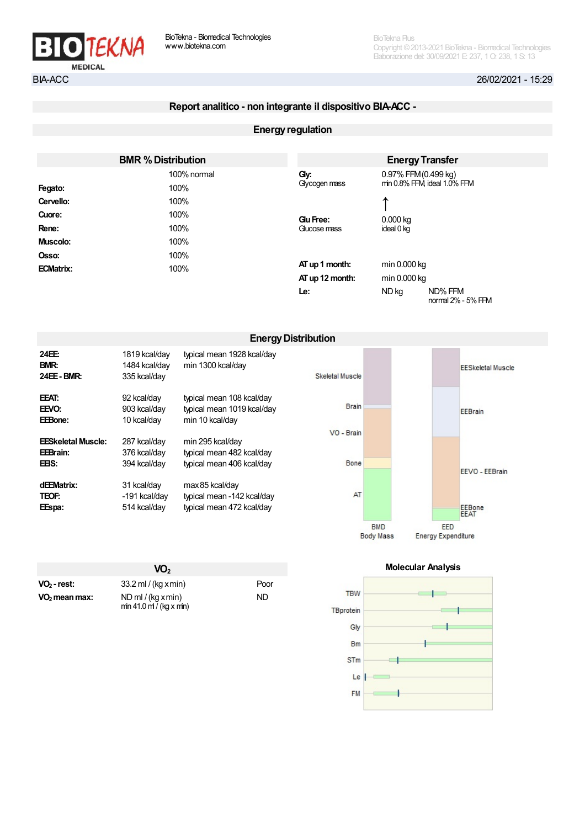

# Report analitico - non integrante il dispositivo BIA-ACC -

### **Energy regulation**

|                  | <b>BMR % Distribution</b> |                 |              | <b>Energy Transfer</b>        |
|------------------|---------------------------|-----------------|--------------|-------------------------------|
|                  | 100% normal               | Gy:             |              | 0.97% FFM (0.499 kg)          |
| Fegato:          | 100%                      | Glycogen mass   |              | min 0.8% FFM ideal 1.0% FFM   |
| Cervello:        | 100%                      |                 | ᠰ            |                               |
| Cuore:           | 100%                      | Glu Free:       | $0.000$ kg   |                               |
| Rene:            | 100%                      | Gucose mass     | ideal 0 kg   |                               |
| Muscolo:         | 100%                      |                 |              |                               |
| Osso:            | 100%                      |                 |              |                               |
| <b>ECMatrix:</b> | 100%                      | AT up 1 month:  | min 0.000 kg |                               |
|                  |                           | AT up 12 month: | min 0.000 kg |                               |
|                  |                           | Le:             | ND kg        | ND% FFM<br>normal 2% - 5% FFM |

|                                     |                                                |                                                                            | <b>Energy Distribution</b> |            |     |                          |
|-------------------------------------|------------------------------------------------|----------------------------------------------------------------------------|----------------------------|------------|-----|--------------------------|
| 24EE:<br>BMR:<br><b>24EE - BMR:</b> | 1819 kcal/day<br>1484 kcal/day<br>335 kcal/day | typical mean 1928 kcal/day<br>min 1300 kcal/day                            | Skeletal Muscle            |            |     | <b>EESkeletal Muscle</b> |
| EEAT:<br>EEVO:<br>EEBone:           | 92 kcal/day<br>903 kcal/day<br>10 kcal/day     | typical mean 108 kcal/day<br>typical mean 1019 kcal/day<br>min 10 kcal/day | <b>Brain</b>               |            |     | EEBrain                  |
| <b>EESkeletal Muscle:</b>           | 287 kcal/day                                   | min 295 kcal/day                                                           | VO - Brain                 |            |     |                          |
| EEBrain:<br>EEIS.                   | 376 kcal/day<br>394 kcal/day                   | typical mean 482 kcal/day<br>typical mean 406 kcal/day                     | Bone                       |            |     | EEVO - EEBrain           |
| dEEMatrix:<br>TEOF:<br>EEspa:       | 31 kcal/day<br>-191 kcal/day<br>514 kcal/day   | max 85 kcal/day<br>typical mean -142 kcal/day<br>typical mean 472 kcal/day | AT                         |            |     | EEBone<br><b>EEAT</b>    |
|                                     |                                                |                                                                            |                            | <b>BMD</b> | EED |                          |

|                           | VO <sub>2</sub>                                  |      |
|---------------------------|--------------------------------------------------|------|
| VO <sub>2</sub> - rest:   | $33.2$ ml / (kg x min)                           | Poor |
| VO <sub>2</sub> mean max: | $ND$ ml / (kg x min)<br>$min 41.0$ m / (kg x mn) | ND.  |

#### Molecular Analysis

Energy Expenditure

**Body Mass** 

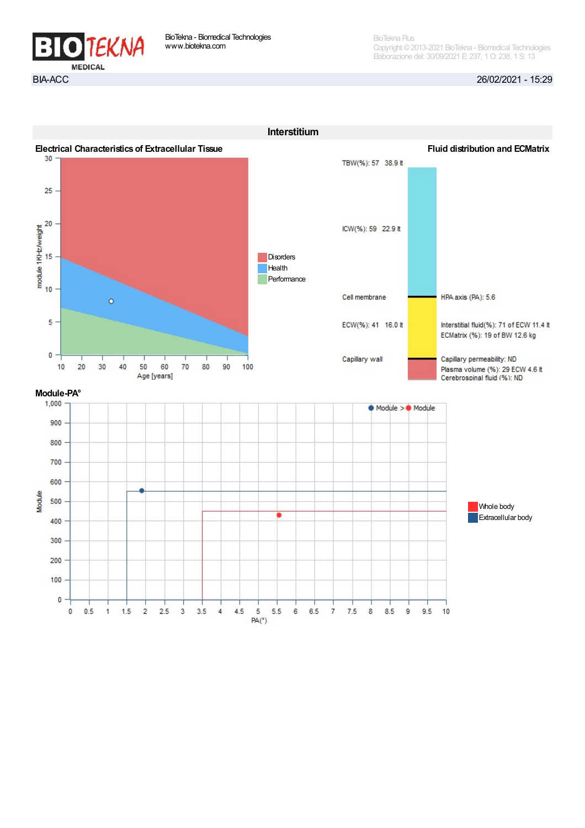